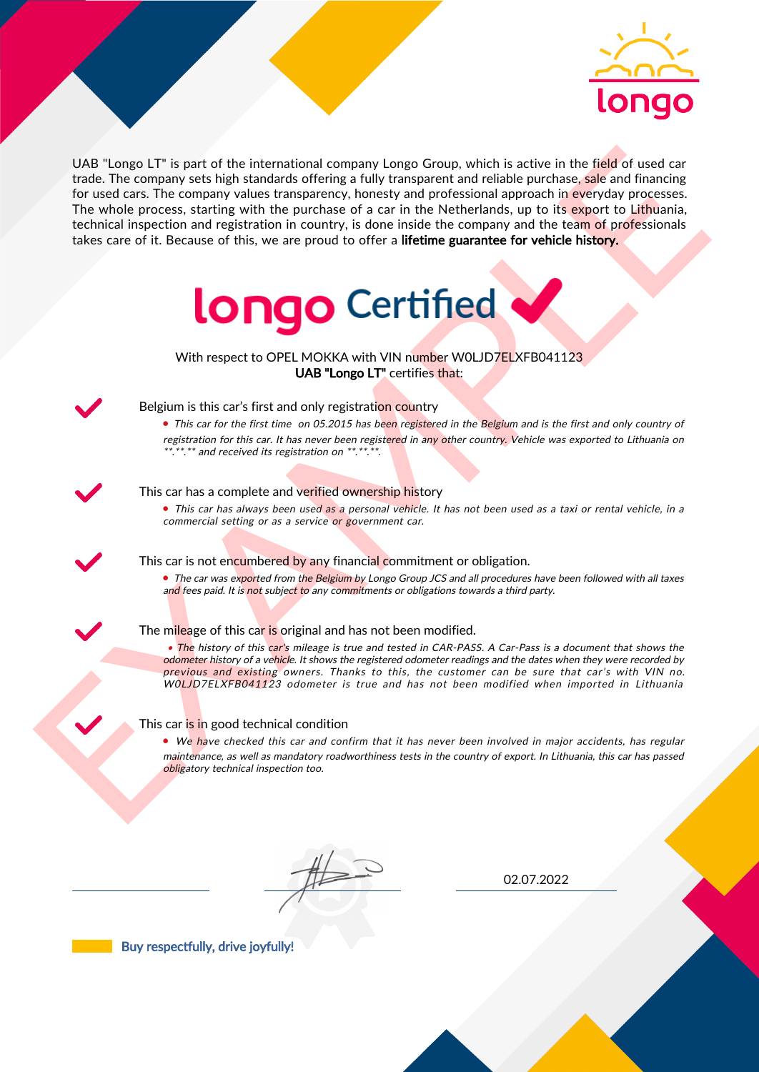

UAS "Lange LI" is part of the interactional company longe Group, which is active in the field of uast car<br>for the field of the control of the interaction between the particle and the particle and the process that the part UAB "Longo LT" is part of the international company Longo Group, which is active in the field of used car trade. The company sets high standards offering a fully transparent and reliable purchase, sale and financing for used cars. The company values transparency, honesty and professional approach in everyday processes. The whole process, starting with the purchase of a car in the Netherlands, up to its export to Lithuania, technical inspection and registration in country, is done inside the company and the team of professionals takes care of it. Because of this, we are proud to offer a lifetime guarantee for vehicle history.



With respect to OPEL MOKKA with VIN number WOLJD7ELXFB041123 UAB "Longo LT" certifies that:



## Belgium is this car's first and only registration country

• This car for the first time on 05.2015 has been registered in the Belgium and is the first and only country of registration for this car. It has never been registered in any other country. Vehicle was exported to Lithuania on \*.\*\*.\*\* and received its registration on \*\*.\*\*.\*\*.

#### This car has a complete and verified ownership history

• This car has always been used as a personal vehicle. It has not been used as a taxi or rental vehicle, in a commercial setting or as a service or government car.

#### This car is not encumbered by any financial commitment or obligation.

• The car was exported from the Belgium by Longo Group JCS and all procedures have been followed with all taxes and fees paid. It is not subject to any commitments or obligations towards a third party.

### The mileage of this car is original and has not been modified.

• The history of this car's mileage is true and tested in CAR-PASS. A Car-Pass is a document that shows the odometer history of a vehicle. It shows the registered odometer readings and the dates when they were recorded by previous and existing owners. Thanks to this, the customer can be sure that car's with VIN no. W0LJD7ELXFB041123 odometer is true and has not been modified when imported in Lithuania

#### This car is in good technical condition

• We have checked this car and confirm that it has never been involved in major accidents, has regular maintenance, as well as mandatory roadworthiness tests in the country of export. In Lithuania, this car has passed obligatory technical inspection too.

02.07.2022

Buy respectfully, drive joyfully!